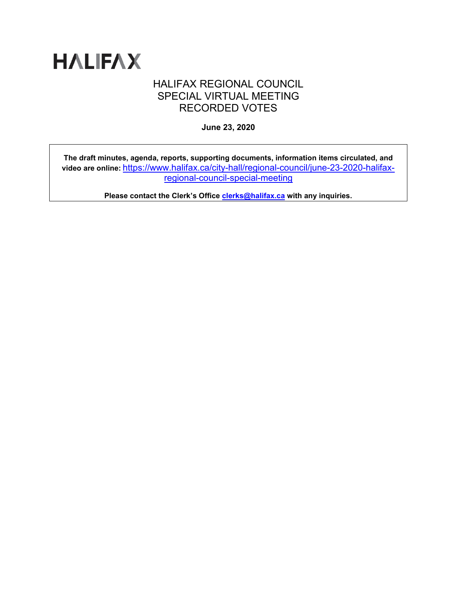

## HALIFAX REGIONAL COUNCIL SPECIAL VIRTUAL MEETING RECORDED VOTES

**June 23, 2020**

**The draft minutes, agenda, reports, supporting documents, information items circulated, and video are online:** [https://www.halifax.ca/city-hall/regional-council/june-23-2020-halifax](https://www.halifax.ca/city-hall/regional-council/june-23-2020-halifax-regional-council-special-meeting)[regional-council-special-meeting](https://www.halifax.ca/city-hall/regional-council/june-23-2020-halifax-regional-council-special-meeting)

**Please contact the Clerk's Office [clerks@halifax.ca](mailto:clerks@halifax.ca) with any inquiries.**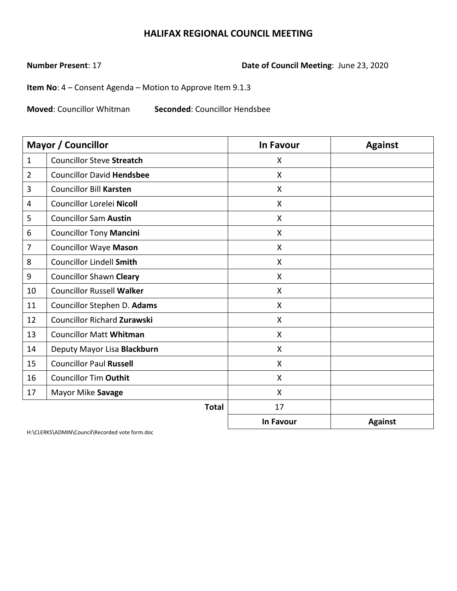**Number Present**: 17 **Date of Council Meeting**: June 23, 2020

**Item No**: 4 – Consent Agenda – Motion to Approve Item 9.1.3

**Moved**: Councillor Whitman **Seconded**: Councillor Hendsbee

|                | Mayor / Councillor                 | <b>In Favour</b>          | <b>Against</b> |
|----------------|------------------------------------|---------------------------|----------------|
| $\mathbf{1}$   | <b>Councillor Steve Streatch</b>   | X                         |                |
| $\overline{2}$ | <b>Councillor David Hendsbee</b>   | X                         |                |
| 3              | <b>Councillor Bill Karsten</b>     | X                         |                |
| 4              | Councillor Lorelei Nicoll          | $\boldsymbol{\mathsf{X}}$ |                |
| 5              | <b>Councillor Sam Austin</b>       | $\mathsf{X}$              |                |
| 6              | <b>Councillor Tony Mancini</b>     | X                         |                |
| 7              | <b>Councillor Waye Mason</b>       | $\mathsf{X}$              |                |
| 8              | <b>Councillor Lindell Smith</b>    | $\boldsymbol{\mathsf{X}}$ |                |
| 9              | <b>Councillor Shawn Cleary</b>     | X                         |                |
| 10             | <b>Councillor Russell Walker</b>   | X                         |                |
| 11             | Councillor Stephen D. Adams        | X                         |                |
| 12             | <b>Councillor Richard Zurawski</b> | $\mathsf{X}$              |                |
| 13             | <b>Councillor Matt Whitman</b>     | X                         |                |
| 14             | Deputy Mayor Lisa Blackburn        | $\mathsf{X}$              |                |
| 15             | <b>Councillor Paul Russell</b>     | X                         |                |
| 16             | <b>Councillor Tim Outhit</b>       | X                         |                |
| 17             | Mayor Mike Savage                  | $\boldsymbol{\mathsf{X}}$ |                |
|                | <b>Total</b>                       | 17                        |                |
|                |                                    | In Favour                 | <b>Against</b> |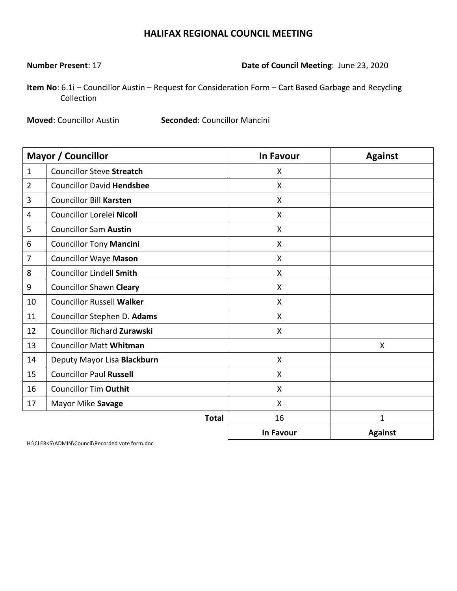**Number Present**: 17 **Date of Council Meeting**: June 23, 2020

**Item No**: 6.1i – Councillor Austin – Request for Consideration Form – Cart Based Garbage and Recycling Collection

**Moved**: Councillor Austin **Seconded**: Councillor Mancini

|                | <b>Mayor / Councillor</b>          | <b>In Favour</b> | <b>Against</b> |
|----------------|------------------------------------|------------------|----------------|
| $\mathbf{1}$   | <b>Councillor Steve Streatch</b>   | X                |                |
| $\overline{2}$ | <b>Councillor David Hendsbee</b>   | X                |                |
| 3              | <b>Councillor Bill Karsten</b>     | X                |                |
| 4              | Councillor Lorelei Nicoll          | X                |                |
| 5              | <b>Councillor Sam Austin</b>       | X                |                |
| 6              | <b>Councillor Tony Mancini</b>     | X                |                |
| $\overline{7}$ | <b>Councillor Waye Mason</b>       | X                |                |
| 8              | <b>Councillor Lindell Smith</b>    | X                |                |
| 9              | <b>Councillor Shawn Cleary</b>     | X                |                |
| 10             | <b>Councillor Russell Walker</b>   | X                |                |
| 11             | Councillor Stephen D. Adams        | X                |                |
| 12             | <b>Councillor Richard Zurawski</b> | $\mathsf{X}$     |                |
| 13             | <b>Councillor Matt Whitman</b>     |                  | X              |
| 14             | Deputy Mayor Lisa Blackburn        | $\mathsf{X}$     |                |
| 15             | <b>Councillor Paul Russell</b>     | X                |                |
| 16             | <b>Councillor Tim Outhit</b>       | X                |                |
| 17             | Mayor Mike Savage                  | X                |                |
|                | <b>Total</b>                       | 16               | $\mathbf{1}$   |
|                |                                    | In Favour        | <b>Against</b> |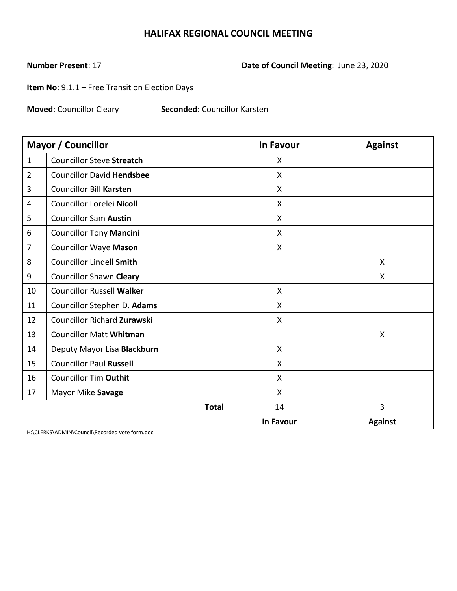# **Number Present**: 17 **Date of Council Meeting**: June 23, 2020

**Item No**: 9.1.1 – Free Transit on Election Days

**Moved**: Councillor Cleary **Seconded**: Councillor Karsten

|                | <b>Mayor / Councillor</b>          | <b>In Favour</b> | <b>Against</b> |
|----------------|------------------------------------|------------------|----------------|
| $\mathbf{1}$   | <b>Councillor Steve Streatch</b>   | X                |                |
| $\overline{2}$ | <b>Councillor David Hendsbee</b>   | X                |                |
| 3              | <b>Councillor Bill Karsten</b>     | X                |                |
| 4              | Councillor Lorelei Nicoll          | X                |                |
| 5              | <b>Councillor Sam Austin</b>       | $\mathsf{X}$     |                |
| 6              | <b>Councillor Tony Mancini</b>     | X                |                |
| 7              | <b>Councillor Waye Mason</b>       | X                |                |
| 8              | <b>Councillor Lindell Smith</b>    |                  | X              |
| 9              | <b>Councillor Shawn Cleary</b>     |                  | X              |
| 10             | <b>Councillor Russell Walker</b>   | X                |                |
| 11             | Councillor Stephen D. Adams        | X                |                |
| 12             | <b>Councillor Richard Zurawski</b> | X                |                |
| 13             | <b>Councillor Matt Whitman</b>     |                  | X              |
| 14             | Deputy Mayor Lisa Blackburn        | X                |                |
| 15             | <b>Councillor Paul Russell</b>     | X                |                |
| 16             | <b>Councillor Tim Outhit</b>       | X                |                |
| 17             | Mayor Mike Savage                  | X                |                |
|                | <b>Total</b>                       | 14               | 3              |
|                |                                    | <b>In Favour</b> | <b>Against</b> |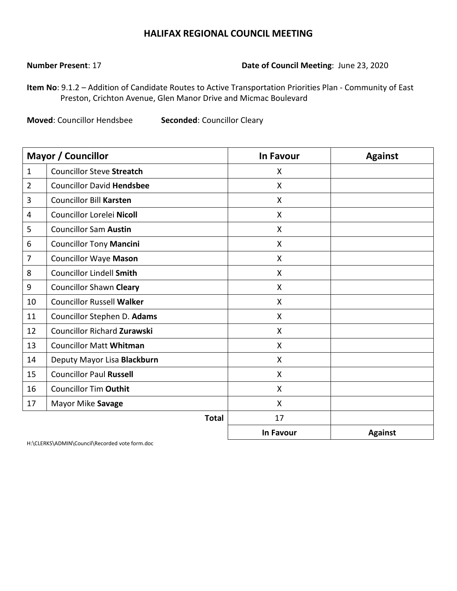#### **Number Present**: 17 **Date of Council Meeting**: June 23, 2020

**Item No**: 9.1.2 – Addition of Candidate Routes to Active Transportation Priorities Plan - Community of East Preston, Crichton Avenue, Glen Manor Drive and Micmac Boulevard

**Moved**: Councillor Hendsbee **Seconded**: Councillor Cleary

|                | <b>Mayor / Councillor</b>          | <b>In Favour</b> | <b>Against</b> |
|----------------|------------------------------------|------------------|----------------|
| $\mathbf{1}$   | <b>Councillor Steve Streatch</b>   | X                |                |
| $\overline{2}$ | <b>Councillor David Hendsbee</b>   | $\mathsf{X}$     |                |
| 3              | <b>Councillor Bill Karsten</b>     | X                |                |
| 4              | Councillor Lorelei Nicoll          | X                |                |
| 5              | <b>Councillor Sam Austin</b>       | $\mathsf{X}$     |                |
| 6              | <b>Councillor Tony Mancini</b>     | $\mathsf{X}$     |                |
| 7              | <b>Councillor Waye Mason</b>       | $\mathsf{X}$     |                |
| 8              | <b>Councillor Lindell Smith</b>    | X                |                |
| 9              | <b>Councillor Shawn Cleary</b>     | X                |                |
| 10             | <b>Councillor Russell Walker</b>   | X                |                |
| 11             | Councillor Stephen D. Adams        | X                |                |
| 12             | <b>Councillor Richard Zurawski</b> | $\mathsf{X}$     |                |
| 13             | <b>Councillor Matt Whitman</b>     | $\mathsf{X}$     |                |
| 14             | Deputy Mayor Lisa Blackburn        | $\mathsf{X}$     |                |
| 15             | <b>Councillor Paul Russell</b>     | X                |                |
| 16             | <b>Councillor Tim Outhit</b>       | X                |                |
| 17             | Mayor Mike Savage                  | X                |                |
|                | <b>Total</b>                       | 17               |                |
|                |                                    | In Favour        | <b>Against</b> |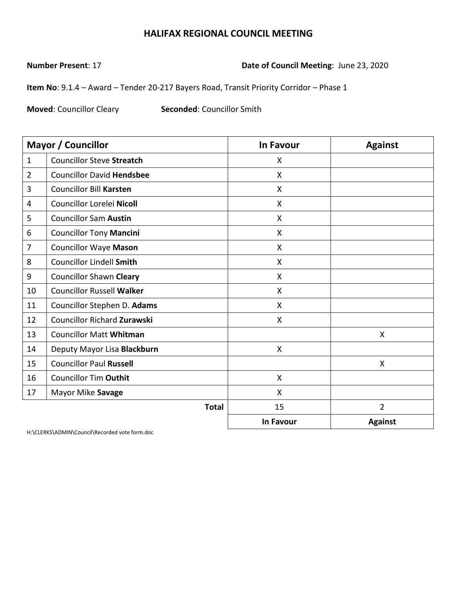**Number Present**: 17 **Date of Council Meeting**: June 23, 2020

**Item No**: 9.1.4 – Award – Tender 20-217 Bayers Road, Transit Priority Corridor – Phase 1

**Moved: Councillor Cleary <b>Seconded:** Councillor Smith

|                | <b>Mayor / Councillor</b>          | <b>In Favour</b> | <b>Against</b> |
|----------------|------------------------------------|------------------|----------------|
| $\mathbf{1}$   | <b>Councillor Steve Streatch</b>   | X                |                |
| $\overline{2}$ | <b>Councillor David Hendsbee</b>   | X                |                |
| 3              | <b>Councillor Bill Karsten</b>     | X                |                |
| 4              | Councillor Lorelei Nicoll          | $\mathsf{X}$     |                |
| 5              | <b>Councillor Sam Austin</b>       | $\mathsf{x}$     |                |
| 6              | <b>Councillor Tony Mancini</b>     | X                |                |
| 7              | <b>Councillor Waye Mason</b>       | $\mathsf{X}$     |                |
| 8              | <b>Councillor Lindell Smith</b>    | X                |                |
| 9              | <b>Councillor Shawn Cleary</b>     | X                |                |
| 10             | <b>Councillor Russell Walker</b>   | X                |                |
| 11             | Councillor Stephen D. Adams        | X                |                |
| 12             | <b>Councillor Richard Zurawski</b> | $\mathsf{X}$     |                |
| 13             | <b>Councillor Matt Whitman</b>     |                  | X              |
| 14             | Deputy Mayor Lisa Blackburn        | X                |                |
| 15             | <b>Councillor Paul Russell</b>     |                  | X              |
| 16             | <b>Councillor Tim Outhit</b>       | X                |                |
| 17             | Mayor Mike Savage                  | X                |                |
|                | <b>Total</b>                       | 15               | $\overline{2}$ |
|                |                                    | <b>In Favour</b> | <b>Against</b> |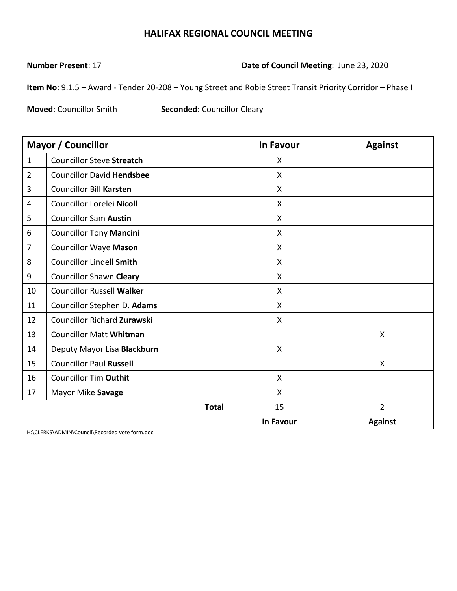**Number Present**: 17 **Date of Council Meeting**: June 23, 2020

**Item No**: 9.1.5 – Award - Tender 20-208 – Young Street and Robie Street Transit Priority Corridor – Phase I

**Moved**: Councillor Smith **Seconded**: Councillor Cleary

|                | <b>Mayor / Councillor</b>          | In Favour                 | <b>Against</b> |
|----------------|------------------------------------|---------------------------|----------------|
| $\mathbf{1}$   | <b>Councillor Steve Streatch</b>   | X                         |                |
| $\overline{2}$ | <b>Councillor David Hendsbee</b>   | X                         |                |
| 3              | <b>Councillor Bill Karsten</b>     | $\mathsf{X}$              |                |
| 4              | Councillor Lorelei Nicoll          | X                         |                |
| 5              | <b>Councillor Sam Austin</b>       | $\boldsymbol{\mathsf{X}}$ |                |
| 6              | <b>Councillor Tony Mancini</b>     | X                         |                |
| 7              | <b>Councillor Waye Mason</b>       | X                         |                |
| 8              | <b>Councillor Lindell Smith</b>    | $\mathsf{X}$              |                |
| 9              | <b>Councillor Shawn Cleary</b>     | X                         |                |
| 10             | <b>Councillor Russell Walker</b>   | X                         |                |
| 11             | Councillor Stephen D. Adams        | $\boldsymbol{\mathsf{X}}$ |                |
| 12             | <b>Councillor Richard Zurawski</b> | X                         |                |
| 13             | <b>Councillor Matt Whitman</b>     |                           | X              |
| 14             | Deputy Mayor Lisa Blackburn        | $\mathsf{X}$              |                |
| 15             | <b>Councillor Paul Russell</b>     |                           | $\mathsf{X}$   |
| 16             | <b>Councillor Tim Outhit</b>       | X                         |                |
| 17             | Mayor Mike Savage                  | X                         |                |
|                | <b>Total</b>                       | 15                        | $\overline{2}$ |
|                |                                    | <b>In Favour</b>          | <b>Against</b> |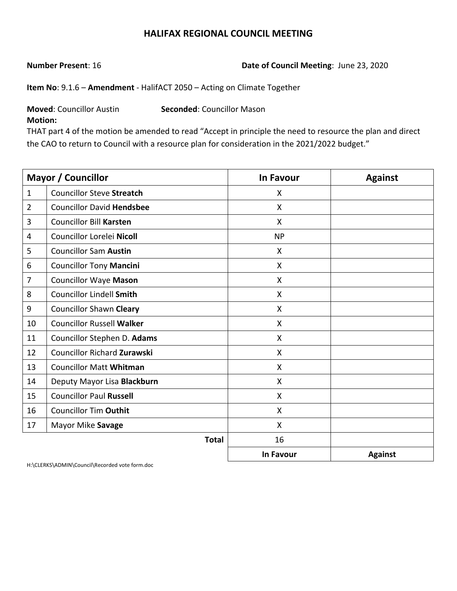**Number Present**: 16 **Date of Council Meeting**: June 23, 2020

**Item No**: 9.1.6 – **Amendment** ‐ HalifACT 2050 – Acting on Climate Together

**Moved**: Councillor Austin **Seconded**: Councillor Mason

**Motion:**

THAT part 4 of the motion be amended to read "Accept in principle the need to resource the plan and direct the CAO to return to Council with a resource plan for consideration in the 2021/2022 budget."

|                | Mayor / Councillor               | <b>In Favour</b>          | <b>Against</b> |
|----------------|----------------------------------|---------------------------|----------------|
| $\mathbf{1}$   | <b>Councillor Steve Streatch</b> | X                         |                |
| $\overline{2}$ | <b>Councillor David Hendsbee</b> | X                         |                |
| 3              | <b>Councillor Bill Karsten</b>   | X                         |                |
| 4              | Councillor Lorelei Nicoll        | <b>NP</b>                 |                |
| 5              | <b>Councillor Sam Austin</b>     | X                         |                |
| 6              | <b>Councillor Tony Mancini</b>   | $\mathsf{X}$              |                |
| 7              | <b>Councillor Waye Mason</b>     | $\mathsf{X}$              |                |
| 8              | <b>Councillor Lindell Smith</b>  | X                         |                |
| 9              | <b>Councillor Shawn Cleary</b>   | X                         |                |
| 10             | <b>Councillor Russell Walker</b> | X                         |                |
| 11             | Councillor Stephen D. Adams      | $\boldsymbol{\mathsf{X}}$ |                |
| 12             | Councillor Richard Zurawski      | $\boldsymbol{\mathsf{X}}$ |                |
| 13             | <b>Councillor Matt Whitman</b>   | $\mathsf{X}$              |                |
| 14             | Deputy Mayor Lisa Blackburn      | X                         |                |
| 15             | <b>Councillor Paul Russell</b>   | X                         |                |
| 16             | <b>Councillor Tim Outhit</b>     | X                         |                |
| 17             | Mayor Mike Savage                | X                         |                |
|                | <b>Total</b>                     | 16                        |                |
|                |                                  | In Favour                 | <b>Against</b> |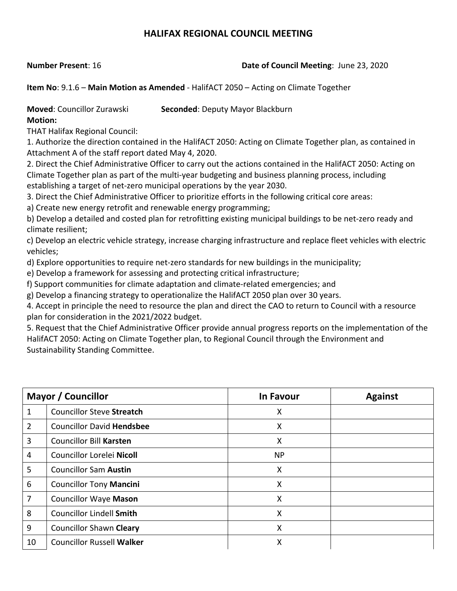#### **Number Present**: 16 **Date of Council Meeting**: June 23, 2020

**Item No**: 9.1.6 – **Main Motion as Amended** ‐ HalifACT 2050 – Acting on Climate Together

**Moved**: Councillor Zurawski **Seconded**: Deputy Mayor Blackburn

**Motion:**

THAT Halifax Regional Council:

1. Authorize the direction contained in the HalifACT 2050: Acting on Climate Together plan, as contained in Attachment A of the staff report dated May 4, 2020.

2. Direct the Chief Administrative Officer to carry out the actions contained in the HalifACT 2050: Acting on Climate Together plan as part of the multi‐year budgeting and business planning process, including establishing a target of net-zero municipal operations by the year 2030.

3. Direct the Chief Administrative Officer to prioritize efforts in the following critical core areas:

a) Create new energy retrofit and renewable energy programming;

b) Develop a detailed and costed plan for retrofitting existing municipal buildings to be net‐zero ready and climate resilient;

c) Develop an electric vehicle strategy, increase charging infrastructure and replace fleet vehicles with electric vehicles;

d) Explore opportunities to require net-zero standards for new buildings in the municipality;

e) Develop a framework for assessing and protecting critical infrastructure;

f) Support communities for climate adaptation and climate‐related emergencies; and

g) Develop a financing strategy to operationalize the HalifACT 2050 plan over 30 years.

4. Accept in principle the need to resource the plan and direct the CAO to return to Council with a resource plan for consideration in the 2021/2022 budget.

5. Request that the Chief Administrative Officer provide annual progress reports on the implementation of the HalifACT 2050: Acting on Climate Together plan, to Regional Council through the Environment and Sustainability Standing Committee.

| <b>Mayor / Councillor</b> |                                  | <b>In Favour</b> | <b>Against</b> |
|---------------------------|----------------------------------|------------------|----------------|
| 1                         | <b>Councillor Steve Streatch</b> | X                |                |
| $\overline{2}$            | <b>Councillor David Hendsbee</b> | X                |                |
| 3                         | <b>Councillor Bill Karsten</b>   | X                |                |
| 4                         | Councillor Lorelei Nicoll        | <b>NP</b>        |                |
| 5                         | <b>Councillor Sam Austin</b>     | X                |                |
| 6                         | <b>Councillor Tony Mancini</b>   | X                |                |
| $\overline{7}$            | <b>Councillor Waye Mason</b>     | X                |                |
| 8                         | <b>Councillor Lindell Smith</b>  | X                |                |
| 9                         | <b>Councillor Shawn Cleary</b>   | X                |                |
| 10                        | <b>Councillor Russell Walker</b> | X                |                |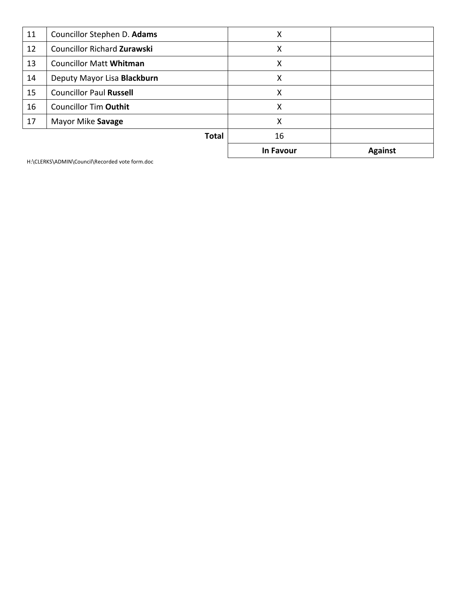| 11 | Councillor Stephen D. Adams        | X         |                |
|----|------------------------------------|-----------|----------------|
| 12 | <b>Councillor Richard Zurawski</b> | X         |                |
| 13 | <b>Councillor Matt Whitman</b>     | X         |                |
| 14 | Deputy Mayor Lisa Blackburn        | X         |                |
| 15 | <b>Councillor Paul Russell</b>     | X         |                |
| 16 | <b>Councillor Tim Outhit</b>       | X         |                |
| 17 | Mayor Mike Savage                  | X         |                |
|    | <b>Total</b>                       | 16        |                |
|    |                                    | In Favour | <b>Against</b> |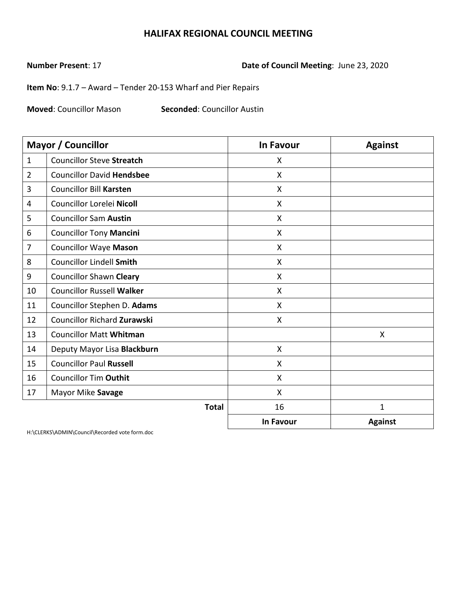**Number Present**: 17 **Date of Council Meeting**: June 23, 2020

**Item No**: 9.1.7 – Award – Tender 20-153 Wharf and Pier Repairs

**Moved**: Councillor Mason **Seconded**: Councillor Austin

|                | Mayor / Councillor                 | <b>In Favour</b>          | <b>Against</b> |
|----------------|------------------------------------|---------------------------|----------------|
| $\mathbf{1}$   | <b>Councillor Steve Streatch</b>   | X                         |                |
| $\overline{2}$ | <b>Councillor David Hendsbee</b>   | X                         |                |
| 3              | <b>Councillor Bill Karsten</b>     | X                         |                |
| 4              | Councillor Lorelei Nicoll          | $\boldsymbol{\mathsf{X}}$ |                |
| 5              | <b>Councillor Sam Austin</b>       | $\boldsymbol{\mathsf{X}}$ |                |
| 6              | <b>Councillor Tony Mancini</b>     | X                         |                |
| 7              | <b>Councillor Waye Mason</b>       | X                         |                |
| 8              | <b>Councillor Lindell Smith</b>    | X                         |                |
| 9              | <b>Councillor Shawn Cleary</b>     | $\boldsymbol{\mathsf{X}}$ |                |
| 10             | <b>Councillor Russell Walker</b>   | $\boldsymbol{\mathsf{X}}$ |                |
| 11             | Councillor Stephen D. Adams        | $\mathsf{X}$              |                |
| 12             | <b>Councillor Richard Zurawski</b> | X                         |                |
| 13             | <b>Councillor Matt Whitman</b>     |                           | X              |
| 14             | Deputy Mayor Lisa Blackburn        | $\boldsymbol{\mathsf{X}}$ |                |
| 15             | <b>Councillor Paul Russell</b>     | $\boldsymbol{\mathsf{X}}$ |                |
| 16             | <b>Councillor Tim Outhit</b>       | X                         |                |
| 17             | Mayor Mike Savage                  | X                         |                |
|                | <b>Total</b>                       | 16                        | $\mathbf{1}$   |
|                |                                    | <b>In Favour</b>          | <b>Against</b> |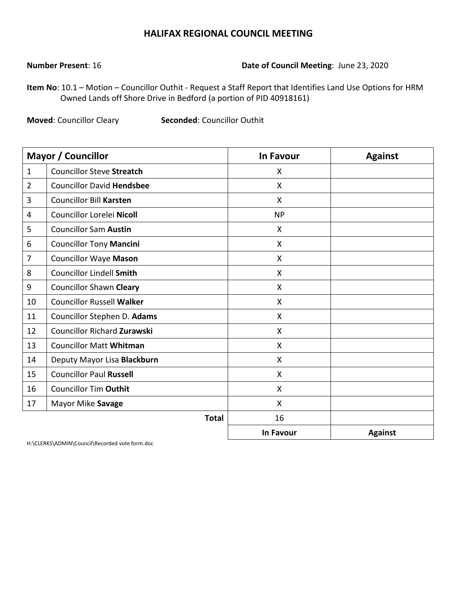#### **Number Present**: 16 **Date of Council Meeting**: June 23, 2020

**Item No**: 10.1 – Motion – Councillor Outhit - Request a Staff Report that Identifies Land Use Options for HRM Owned Lands off Shore Drive in Bedford (a portion of PID 40918161)

**Moved**: Councillor Cleary **Seconded**: Councillor Outhit

|                | <b>Mayor / Councillor</b>          | <b>In Favour</b> | <b>Against</b> |
|----------------|------------------------------------|------------------|----------------|
| $\mathbf{1}$   | <b>Councillor Steve Streatch</b>   | X                |                |
| $\overline{2}$ | <b>Councillor David Hendsbee</b>   | X                |                |
| 3              | <b>Councillor Bill Karsten</b>     | X                |                |
| 4              | Councillor Lorelei Nicoll          | <b>NP</b>        |                |
| 5              | <b>Councillor Sam Austin</b>       | X                |                |
| 6              | <b>Councillor Tony Mancini</b>     | X                |                |
| $\overline{7}$ | <b>Councillor Waye Mason</b>       | X                |                |
| 8              | <b>Councillor Lindell Smith</b>    | X                |                |
| 9              | <b>Councillor Shawn Cleary</b>     | X                |                |
| 10             | <b>Councillor Russell Walker</b>   | X                |                |
| 11             | Councillor Stephen D. Adams        | X                |                |
| 12             | <b>Councillor Richard Zurawski</b> | X                |                |
| 13             | <b>Councillor Matt Whitman</b>     | X                |                |
| 14             | Deputy Mayor Lisa Blackburn        | X                |                |
| 15             | <b>Councillor Paul Russell</b>     | X                |                |
| 16             | <b>Councillor Tim Outhit</b>       | X                |                |
| 17             | Mayor Mike Savage                  | X                |                |
|                | <b>Total</b>                       | 16               |                |
|                |                                    | In Favour        | <b>Against</b> |